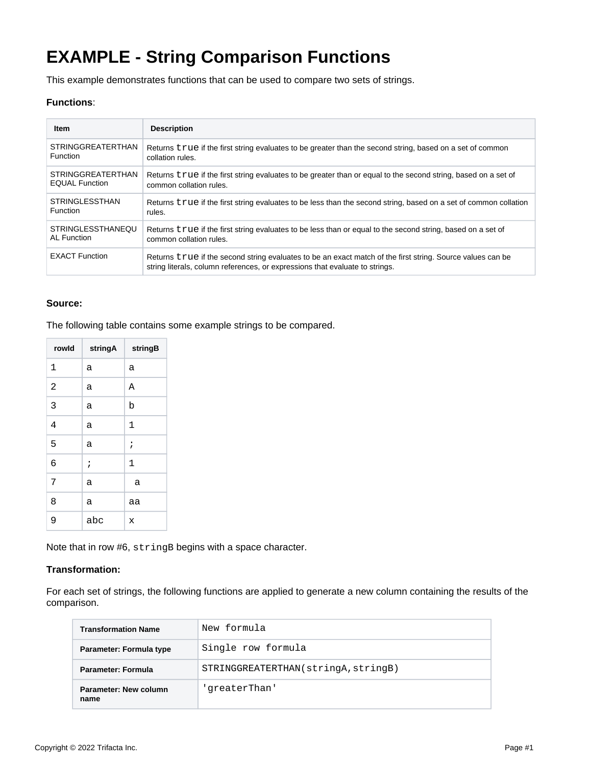# **EXAMPLE - String Comparison Functions**

This example demonstrates functions that can be used to compare two sets of strings.

#### **Functions**:

| <b>Item</b>              | <b>Description</b>                                                                                                                                                                         |
|--------------------------|--------------------------------------------------------------------------------------------------------------------------------------------------------------------------------------------|
| <b>STRINGGREATERTHAN</b> | Returns true if the first string evaluates to be greater than the second string, based on a set of common                                                                                  |
| <b>Function</b>          | collation rules.                                                                                                                                                                           |
| <b>STRINGGREATERTHAN</b> | Returns true if the first string evaluates to be greater than or equal to the second string, based on a set of                                                                             |
| <b>EQUAL Function</b>    | common collation rules.                                                                                                                                                                    |
| <b>STRINGLESSTHAN</b>    | Returns true if the first string evaluates to be less than the second string, based on a set of common collation                                                                           |
| <b>Function</b>          | rules.                                                                                                                                                                                     |
| <b>STRINGLESSTHANEOU</b> | Returns true if the first string evaluates to be less than or equal to the second string, based on a set of                                                                                |
| AL Function              | common collation rules.                                                                                                                                                                    |
| <b>EXACT Function</b>    | Returns true if the second string evaluates to be an exact match of the first string. Source values can be<br>string literals, column references, or expressions that evaluate to strings. |

# **Source:**

 $\overline{\phantom{0}}$ 

The following table contains some example strings to be compared.

| rowld          | stringA | stringB   |  |
|----------------|---------|-----------|--|
| 1              | а       | а         |  |
| $\overline{a}$ | а       | A         |  |
| 3              | a       | b         |  |
| $\overline{4}$ | a       | $1\,$     |  |
| 5              | а       | $\cdot$   |  |
| 6              | $\cdot$ | 1         |  |
| 7              | а       | a         |  |
| 8              | a       | aa        |  |
| 9              | abc     | $\bar{x}$ |  |

Note that in row #6, stringB begins with a space character.

## **Transformation:**

For each set of strings, the following functions are applied to generate a new column containing the results of the comparison.

| <b>Transformation Name</b>    | New formula                         |
|-------------------------------|-------------------------------------|
| Parameter: Formula type       | Single row formula                  |
| <b>Parameter: Formula</b>     | STRINGGREATERTHAN(stringA, stringB) |
| Parameter: New column<br>name | 'qreaterThan'                       |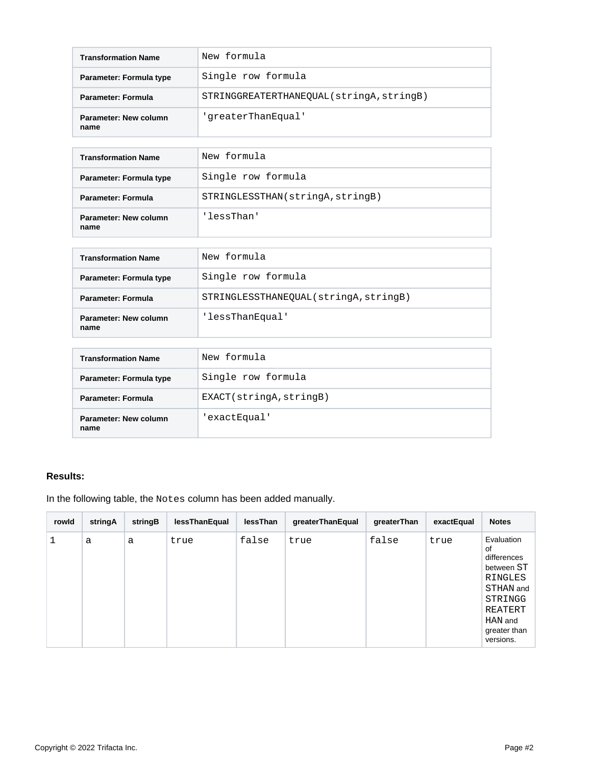| <b>Transformation Name</b>    | New formula                             |
|-------------------------------|-----------------------------------------|
| Parameter: Formula type       | Single row formula                      |
| Parameter: Formula            | STRINGGREATERTHANEQUAL(stringA,stringB) |
| Parameter: New column<br>name | 'qreaterThanEqual'                      |

| <b>Transformation Name</b>    | New formula                     |
|-------------------------------|---------------------------------|
| Parameter: Formula type       | Single row formula              |
| Parameter: Formula            | STRINGLESSTHAN(stringA,stringB) |
| Parameter: New column<br>name | 'lessThan'                      |

| <b>Transformation Name</b>    | New formula                           |
|-------------------------------|---------------------------------------|
| Parameter: Formula type       | Single row formula                    |
| Parameter: Formula            | STRINGLESSTHANEQUAL(stringA, stringB) |
| Parameter: New column<br>name | 'lessThanEqual'                       |

| <b>Transformation Name</b>    | New formula            |
|-------------------------------|------------------------|
| Parameter: Formula type       | Single row formula     |
| <b>Parameter: Formula</b>     | EXACT(stringA,stringB) |
| Parameter: New column<br>name | 'exactEqual'           |

## **Results:**

In the following table, the Notes column has been added manually.

| rowld | stringA | stringB | lessThanEqual | lessThan | greaterThanEqual | greaterThan | exactEqual | <b>Notes</b>                                                                                                                        |
|-------|---------|---------|---------------|----------|------------------|-------------|------------|-------------------------------------------------------------------------------------------------------------------------------------|
|       | a       | a       | true          | false    | true             | false       | true       | Evaluation<br>0f<br>differences<br>between ST<br>RINGLES<br>STHAN and<br>STRINGG<br>REATERT<br>HAN and<br>greater than<br>versions. |